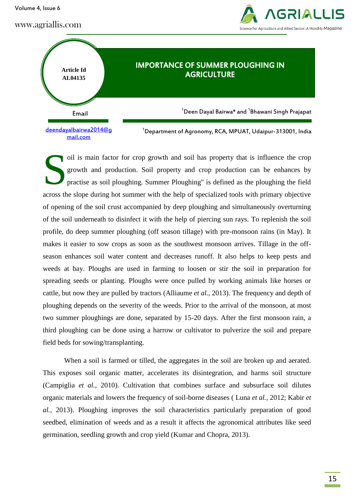Volume 4, Issue 6

www.agriallis.com





oil is main factor for crop growth and soil has property that is influence the crop growth and production. Soil property and crop production can be enhances by practise as soil ploughing. Summer Ploughing" is defined as the ploughing the field across the slope during hot summer with the help of specialized tools with primary objective of opening of the soil crust accompanied by deep ploughing and simultaneously overturning of the soil underneath to disinfect it with the help of piercing sun rays. To replenish the soil profile, do deep summer ploughing (off season tillage) with pre-monsoon rains (in May). It makes it easier to sow crops as soon as the southwest monsoon arrives. Tillage in the offseason enhances soil water content and decreases runoff. It also helps to keep pests and weeds at bay. Ploughs are used in farming to loosen or stir the soil in preparation for spreading seeds or planting. Ploughs were once pulled by working animals like horses or cattle, but now they are pulled by tractors (Alliaume *et al.,* 2013). The frequency and depth of ploughing depends on the severity of the weeds. Prior to the arrival of the monsoon, at most two summer ploughings are done, separated by 15-20 days. After the first monsoon rain, a third ploughing can be done using a harrow or cultivator to pulverize the soil and prepare field beds for sowing/transplanting. S

When a soil is farmed or tilled, the aggregates in the soil are broken up and aerated. This exposes soil organic matter, accelerates its disintegration, and harms soil structure (Campiglia *et al.,* 2010). Cultivation that combines surface and subsurface soil dilutes organic materials and lowers the frequency of soil-borne diseases ( Luna *et al.,* 2012; Kabir *et al.,* 2013). Ploughing improves the soil characteristics particularly preparation of good seedbed, elimination of weeds and as a result it affects the agronomical attributes like seed germination, seedling growth and crop yield (Kumar and Chopra, 2013).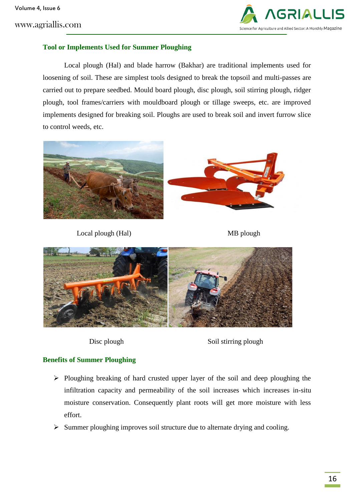www.agriallis.com



### **Tool or Implements Used for Summer Ploughing**

Local plough (Hal) and blade harrow (Bakhar) are traditional implements used for loosening of soil. These are simplest tools designed to break the topsoil and multi-passes are carried out to prepare seedbed. Mould board plough, disc plough, soil stirring plough, ridger plough, tool frames/carriers with mouldboard plough or tillage sweeps, etc. are improved implements designed for breaking soil. Ploughs are used to break soil and invert furrow slice to control weeds, etc.



Local plough (Hal) MB plough





Disc plough Soil stirring plough

### **Benefits of Summer Ploughing**

- $\triangleright$  Ploughing breaking of hard crusted upper layer of the soil and deep ploughing the infiltration capacity and permeability of the soil increases which increases in-situ moisture conservation. Consequently plant roots will get more moisture with less effort.
- $\triangleright$  Summer ploughing improves soil structure due to alternate drying and cooling.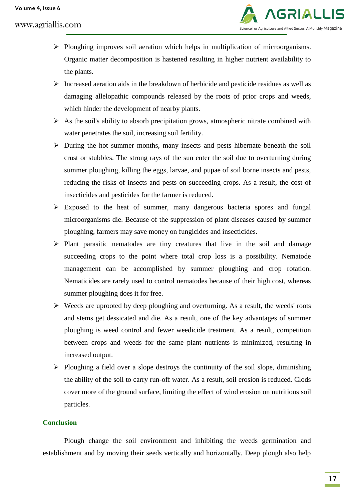# www.agriallis.com



- $\triangleright$  Ploughing improves soil aeration which helps in multiplication of microorganisms. Organic matter decomposition is hastened resulting in higher nutrient availability to the plants.
- $\triangleright$  Increased aeration aids in the breakdown of herbicide and pesticide residues as well as damaging allelopathic compounds released by the roots of prior crops and weeds, which hinder the development of nearby plants.
- $\triangleright$  As the soil's ability to absorb precipitation grows, atmospheric nitrate combined with water penetrates the soil, increasing soil fertility.
- $\triangleright$  During the hot summer months, many insects and pests hibernate beneath the soil crust or stubbles. The strong rays of the sun enter the soil due to overturning during summer ploughing, killing the eggs, larvae, and pupae of soil borne insects and pests, reducing the risks of insects and pests on succeeding crops. As a result, the cost of insecticides and pesticides for the farmer is reduced.
- $\triangleright$  Exposed to the heat of summer, many dangerous bacteria spores and fungal microorganisms die. Because of the suppression of plant diseases caused by summer ploughing, farmers may save money on fungicides and insecticides.
- $\triangleright$  Plant parasitic nematodes are tiny creatures that live in the soil and damage succeeding crops to the point where total crop loss is a possibility. Nematode management can be accomplished by summer ploughing and crop rotation. Nematicides are rarely used to control nematodes because of their high cost, whereas summer ploughing does it for free.
- $\triangleright$  Weeds are uprooted by deep ploughing and overturning. As a result, the weeds' roots and stems get dessicated and die. As a result, one of the key advantages of summer ploughing is weed control and fewer weedicide treatment. As a result, competition between crops and weeds for the same plant nutrients is minimized, resulting in increased output.
- $\triangleright$  Ploughing a field over a slope destroys the continuity of the soil slope, diminishing the ability of the soil to carry run-off water. As a result, soil erosion is reduced. Clods cover more of the ground surface, limiting the effect of wind erosion on nutritious soil particles.

### **Conclusion**

Plough change the soil environment and inhibiting the weeds germination and establishment and by moving their seeds vertically and horizontally. Deep plough also help